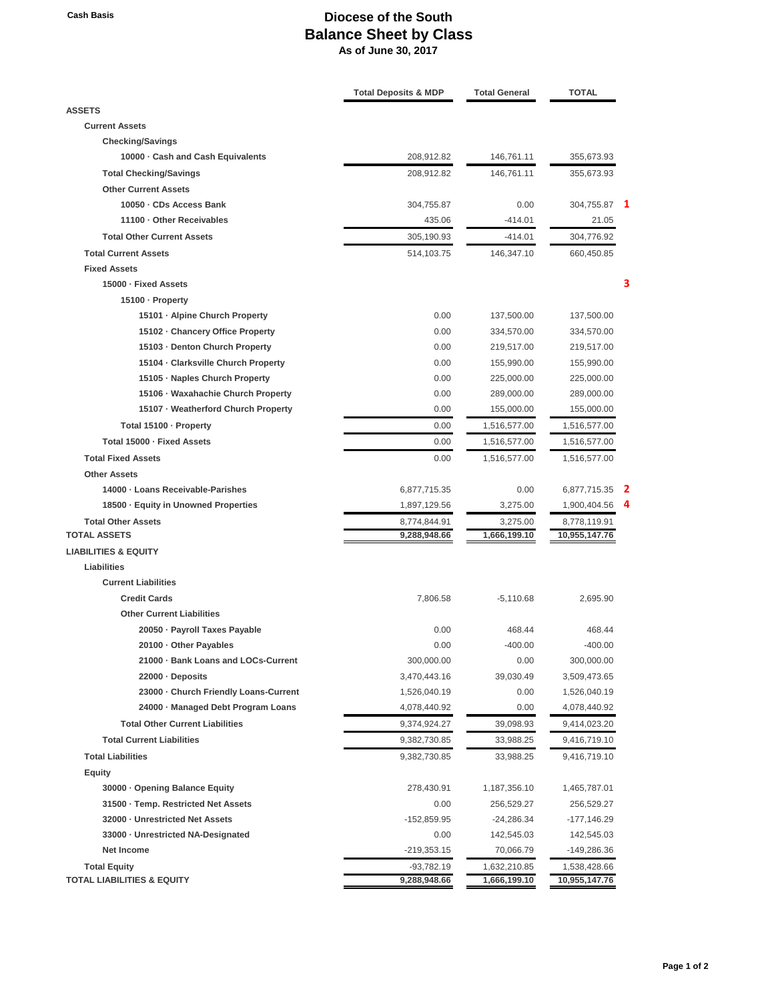## **Cash Basis Diocese of the South Balance Sheet by Class As of June 30, 2017**

|                                        | <b>Total Deposits &amp; MDP</b> | <b>Total General</b> | <b>TOTAL</b>  |  |
|----------------------------------------|---------------------------------|----------------------|---------------|--|
| <b>ASSETS</b>                          |                                 |                      |               |  |
| <b>Current Assets</b>                  |                                 |                      |               |  |
| <b>Checking/Savings</b>                |                                 |                      |               |  |
| 10000 Gash and Cash Equivalents        | 208,912.82                      | 146,761.11           | 355,673.93    |  |
| <b>Total Checking/Savings</b>          | 208,912.82                      | 146,761.11           | 355,673.93    |  |
| <b>Other Current Assets</b>            |                                 |                      |               |  |
| 10050 · CDs Access Bank                | 304,755.87                      | 0.00                 | 304,755.87    |  |
| 11100 - Other Receivables              | 435.06                          | $-414.01$            | 21.05         |  |
| <b>Total Other Current Assets</b>      | 305,190.93                      | $-414.01$            | 304,776.92    |  |
| <b>Total Current Assets</b>            | 514,103.75                      | 146,347.10           | 660,450.85    |  |
| <b>Fixed Assets</b>                    |                                 |                      |               |  |
| 15000 · Fixed Assets                   |                                 |                      |               |  |
| 15100 - Property                       |                                 |                      |               |  |
| 15101 - Alpine Church Property         | 0.00                            | 137,500.00           | 137,500.00    |  |
| 15102 - Chancery Office Property       | 0.00                            | 334,570.00           | 334,570.00    |  |
| 15103 - Denton Church Property         | 0.00                            | 219,517.00           | 219,517.00    |  |
| 15104 - Clarksville Church Property    | 0.00                            | 155,990.00           | 155,990.00    |  |
| 15105 - Naples Church Property         | 0.00                            | 225,000.00           | 225,000.00    |  |
| 15106 - Waxahachie Church Property     | 0.00                            | 289,000.00           | 289,000.00    |  |
| 15107 - Weatherford Church Property    | 0.00                            | 155,000.00           | 155,000.00    |  |
| Total 15100 · Property                 | 0.00                            | 1,516,577.00         | 1,516,577.00  |  |
| Total 15000 - Fixed Assets             | 0.00                            | 1,516,577.00         | 1,516,577.00  |  |
| <b>Total Fixed Assets</b>              | 0.00                            | 1,516,577.00         | 1,516,577.00  |  |
| <b>Other Assets</b>                    |                                 |                      |               |  |
| 14000 - Loans Receivable-Parishes      | 6,877,715.35                    | 0.00                 | 6,877,715.35  |  |
| 18500 · Equity in Unowned Properties   | 1,897,129.56                    | 3,275.00             | 1,900,404.56  |  |
| <b>Total Other Assets</b>              | 8,774,844.91                    | 3,275.00             | 8,778,119.91  |  |
| <b>TOTAL ASSETS</b>                    | 9,288,948.66                    | 1,666,199.10         | 10,955,147.76 |  |
| <b>LIABILITIES &amp; EQUITY</b>        |                                 |                      |               |  |
| Liabilities                            |                                 |                      |               |  |
| <b>Current Liabilities</b>             |                                 |                      |               |  |
| <b>Credit Cards</b>                    | 7,806.58                        | $-5,110.68$          | 2,695.90      |  |
| <b>Other Current Liabilities</b>       |                                 |                      |               |  |
| 20050 - Payroll Taxes Payable          | 0.00                            | 468.44               | 468.44        |  |
| 20100 - Other Payables                 | 0.00                            | $-400.00$            | $-400.00$     |  |
| 21000 · Bank Loans and LOCs-Current    | 300,000.00                      | 0.00                 | 300,000.00    |  |
| 22000 - Deposits                       | 3,470,443.16                    | 39,030.49            | 3,509,473.65  |  |
| 23000 - Church Friendly Loans-Current  | 1,526,040.19                    | 0.00                 | 1,526,040.19  |  |
| 24000 · Managed Debt Program Loans     | 4,078,440.92                    | 0.00                 | 4,078,440.92  |  |
| <b>Total Other Current Liabilities</b> | 9,374,924.27                    | 39,098.93            | 9,414,023.20  |  |
| <b>Total Current Liabilities</b>       | 9,382,730.85                    | 33,988.25            | 9,416,719.10  |  |
| <b>Total Liabilities</b>               | 9,382,730.85                    | 33,988.25            | 9,416,719.10  |  |
| <b>Equity</b>                          |                                 |                      |               |  |
| 30000 · Opening Balance Equity         | 278,430.91                      | 1,187,356.10         | 1,465,787.01  |  |
| 31500 · Temp. Restricted Net Assets    | 0.00                            | 256,529.27           | 256,529.27    |  |
| 32000 - Unrestricted Net Assets        | -152,859.95                     | $-24,286.34$         | $-177,146.29$ |  |
| 33000 · Unrestricted NA-Designated     | 0.00                            | 142,545.03           | 142,545.03    |  |
| <b>Net Income</b>                      | $-219,353.15$                   | 70,066.79            | -149,286.36   |  |
| <b>Total Equity</b>                    | $-93,782.19$                    | 1,632,210.85         | 1,538,428.66  |  |
| TOTAL LIABILITIES & EQUITY             | 9,288,948.66                    | 1,666,199.10         | 10,955,147.76 |  |